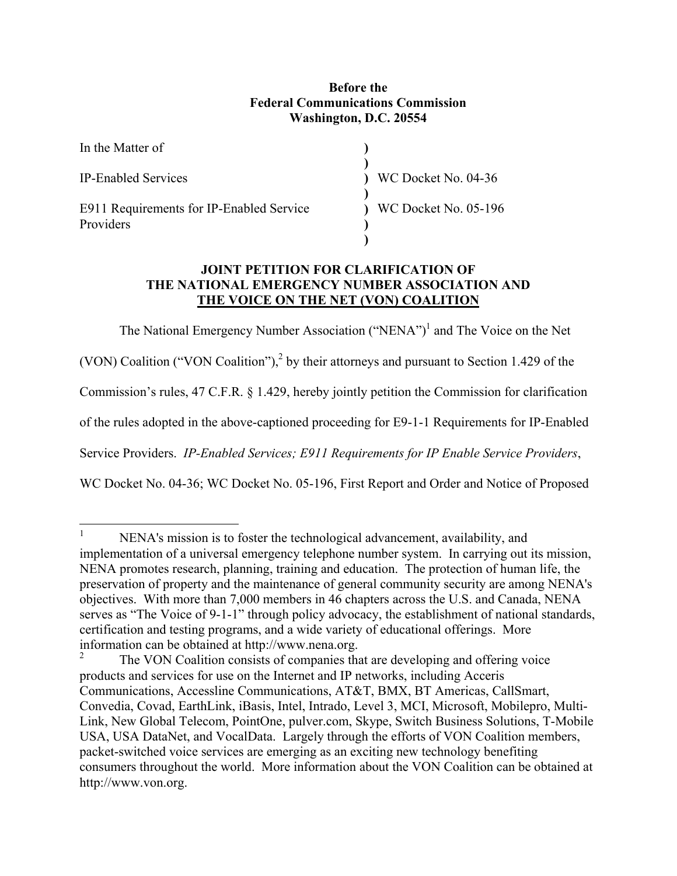## **Before the Federal Communications Commission Washington, D.C. 20554**

| In the Matter of                                      |                      |
|-------------------------------------------------------|----------------------|
| <b>IP-Enabled Services</b>                            | WC Docket No. 04-36  |
| E911 Requirements for IP-Enabled Service<br>Providers | WC Docket No. 05-196 |

## **JOINT PETITION FOR CLARIFICATION OF THE NATIONAL EMERGENCY NUMBER ASSOCIATION AND THE VOICE ON THE NET (VON) COALITION**

The National Emergency Number Association ("NENA")<sup>1</sup> and The Voice on the Net

(VON) Coalition ("VON Coalition"), $^2$  by their attorneys and pursuant to Section 1.429 of the

Commission's rules, 47 C.F.R. § 1.429, hereby jointly petition the Commission for clarification

of the rules adopted in the above-captioned proceeding for E9-1-1 Requirements for IP-Enabled

Service Providers. *IP-Enabled Services; E911 Requirements for IP Enable Service Providers*,

WC Docket No. 04-36; WC Docket No. 05-196, First Report and Order and Notice of Proposed

 $\frac{1}{1}$  NENA's mission is to foster the technological advancement, availability, and implementation of a universal emergency telephone number system. In carrying out its mission, NENA promotes research, planning, training and education. The protection of human life, the preservation of property and the maintenance of general community security are among NENA's objectives. With more than 7,000 members in 46 chapters across the U.S. and Canada, NENA serves as "The Voice of 9-1-1" through policy advocacy, the establishment of national standards, certification and testing programs, and a wide variety of educational offerings. More information can be obtained at http://www.nena.org.

<sup>2</sup> The VON Coalition consists of companies that are developing and offering voice products and services for use on the Internet and IP networks, including Acceris Communications, Accessline Communications, AT&T, BMX, BT Americas, CallSmart, Convedia, Covad, EarthLink, iBasis, Intel, Intrado, Level 3, MCI, Microsoft, Mobilepro, Multi-Link, New Global Telecom, PointOne, pulver.com, Skype, Switch Business Solutions, T-Mobile USA, USA DataNet, and VocalData. Largely through the efforts of VON Coalition members, packet-switched voice services are emerging as an exciting new technology benefiting consumers throughout the world. More information about the VON Coalition can be obtained at http://www.von.org.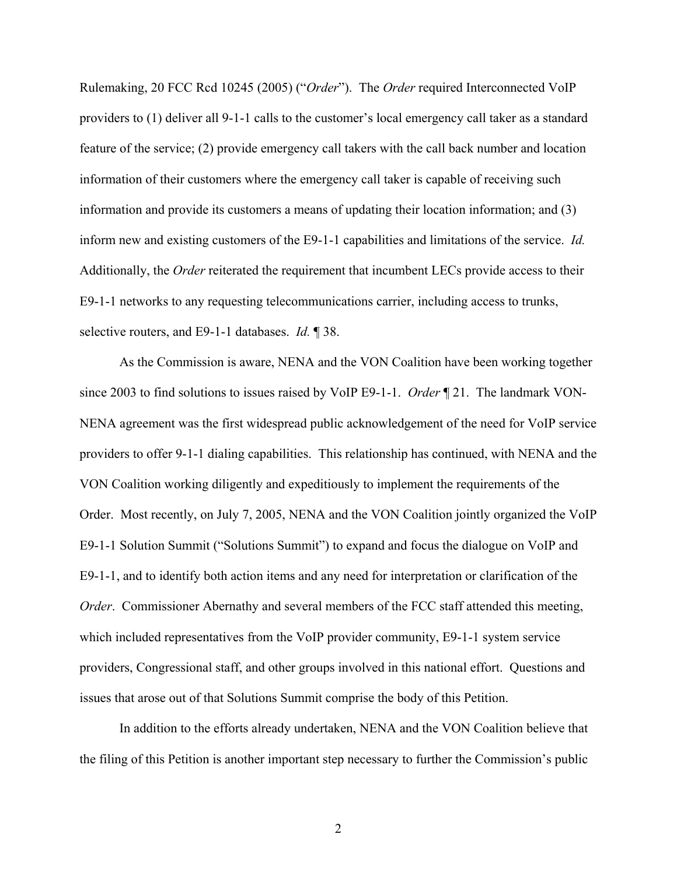Rulemaking, 20 FCC Rcd 10245 (2005) ("*Order*"). The *Order* required Interconnected VoIP providers to (1) deliver all 9-1-1 calls to the customer's local emergency call taker as a standard feature of the service; (2) provide emergency call takers with the call back number and location information of their customers where the emergency call taker is capable of receiving such information and provide its customers a means of updating their location information; and (3) inform new and existing customers of the E9-1-1 capabilities and limitations of the service. *Id.* Additionally, the *Order* reiterated the requirement that incumbent LECs provide access to their E9-1-1 networks to any requesting telecommunications carrier, including access to trunks, selective routers, and E9-1-1 databases. *Id.* ¶ 38.

As the Commission is aware, NENA and the VON Coalition have been working together since 2003 to find solutions to issues raised by VoIP E9-1-1. *Order* ¶ 21. The landmark VON-NENA agreement was the first widespread public acknowledgement of the need for VoIP service providers to offer 9-1-1 dialing capabilities. This relationship has continued, with NENA and the VON Coalition working diligently and expeditiously to implement the requirements of the Order. Most recently, on July 7, 2005, NENA and the VON Coalition jointly organized the VoIP E9-1-1 Solution Summit ("Solutions Summit") to expand and focus the dialogue on VoIP and E9-1-1, and to identify both action items and any need for interpretation or clarification of the *Order*. Commissioner Abernathy and several members of the FCC staff attended this meeting, which included representatives from the VoIP provider community, E9-1-1 system service providers, Congressional staff, and other groups involved in this national effort. Questions and issues that arose out of that Solutions Summit comprise the body of this Petition.

In addition to the efforts already undertaken, NENA and the VON Coalition believe that the filing of this Petition is another important step necessary to further the Commission's public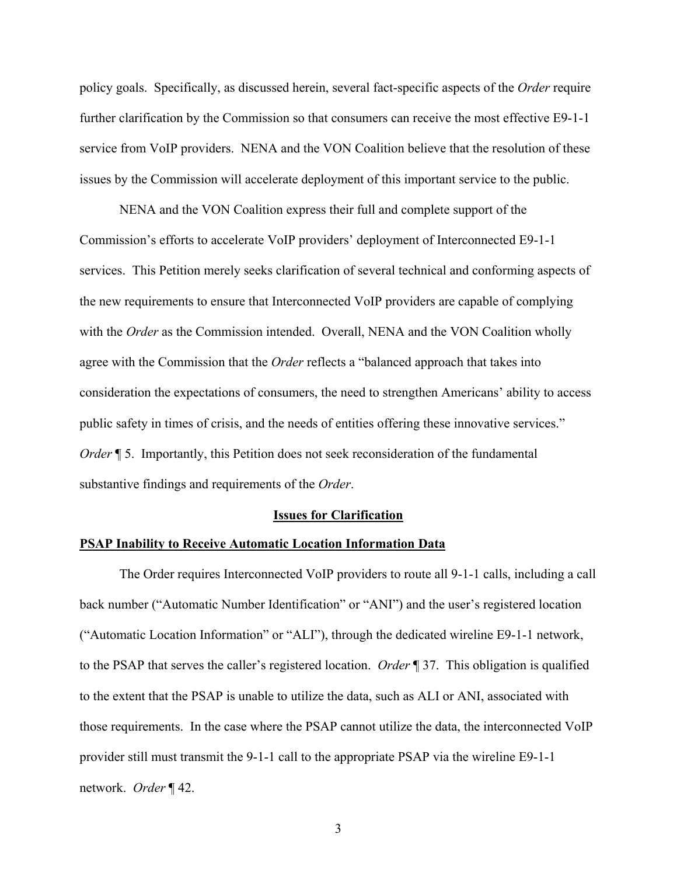policy goals. Specifically, as discussed herein, several fact-specific aspects of the *Order* require further clarification by the Commission so that consumers can receive the most effective E9-1-1 service from VoIP providers. NENA and the VON Coalition believe that the resolution of these issues by the Commission will accelerate deployment of this important service to the public.

NENA and the VON Coalition express their full and complete support of the Commission's efforts to accelerate VoIP providers' deployment of Interconnected E9-1-1 services. This Petition merely seeks clarification of several technical and conforming aspects of the new requirements to ensure that Interconnected VoIP providers are capable of complying with the *Order* as the Commission intended. Overall, NENA and the VON Coalition wholly agree with the Commission that the *Order* reflects a "balanced approach that takes into consideration the expectations of consumers, the need to strengthen Americans' ability to access public safety in times of crisis, and the needs of entities offering these innovative services." *Order* **[5. Importantly, this Petition does not seek reconsideration of the fundamental** substantive findings and requirements of the *Order*.

#### **Issues for Clarification**

#### **PSAP Inability to Receive Automatic Location Information Data**

The Order requires Interconnected VoIP providers to route all 9-1-1 calls, including a call back number ("Automatic Number Identification" or "ANI") and the user's registered location ("Automatic Location Information" or "ALI"), through the dedicated wireline E9-1-1 network, to the PSAP that serves the caller's registered location. *Order* ¶ 37. This obligation is qualified to the extent that the PSAP is unable to utilize the data, such as ALI or ANI, associated with those requirements. In the case where the PSAP cannot utilize the data, the interconnected VoIP provider still must transmit the 9-1-1 call to the appropriate PSAP via the wireline E9-1-1 network. *Order* ¶ 42.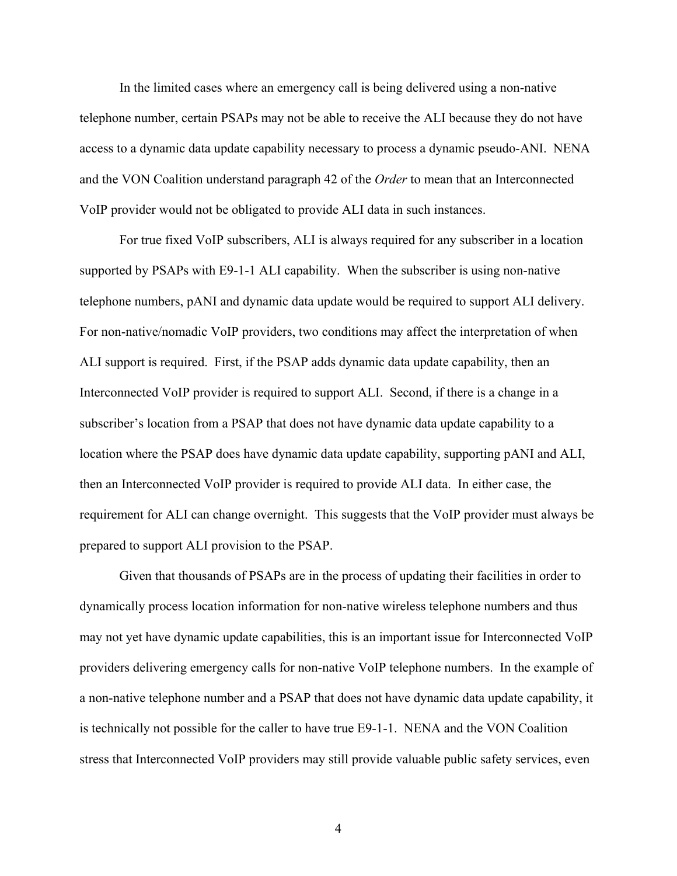In the limited cases where an emergency call is being delivered using a non-native telephone number, certain PSAPs may not be able to receive the ALI because they do not have access to a dynamic data update capability necessary to process a dynamic pseudo-ANI. NENA and the VON Coalition understand paragraph 42 of the *Order* to mean that an Interconnected VoIP provider would not be obligated to provide ALI data in such instances.

For true fixed VoIP subscribers, ALI is always required for any subscriber in a location supported by PSAPs with E9-1-1 ALI capability. When the subscriber is using non-native telephone numbers, pANI and dynamic data update would be required to support ALI delivery. For non-native/nomadic VoIP providers, two conditions may affect the interpretation of when ALI support is required. First, if the PSAP adds dynamic data update capability, then an Interconnected VoIP provider is required to support ALI. Second, if there is a change in a subscriber's location from a PSAP that does not have dynamic data update capability to a location where the PSAP does have dynamic data update capability, supporting pANI and ALI, then an Interconnected VoIP provider is required to provide ALI data. In either case, the requirement for ALI can change overnight. This suggests that the VoIP provider must always be prepared to support ALI provision to the PSAP.

Given that thousands of PSAPs are in the process of updating their facilities in order to dynamically process location information for non-native wireless telephone numbers and thus may not yet have dynamic update capabilities, this is an important issue for Interconnected VoIP providers delivering emergency calls for non-native VoIP telephone numbers. In the example of a non-native telephone number and a PSAP that does not have dynamic data update capability, it is technically not possible for the caller to have true E9-1-1. NENA and the VON Coalition stress that Interconnected VoIP providers may still provide valuable public safety services, even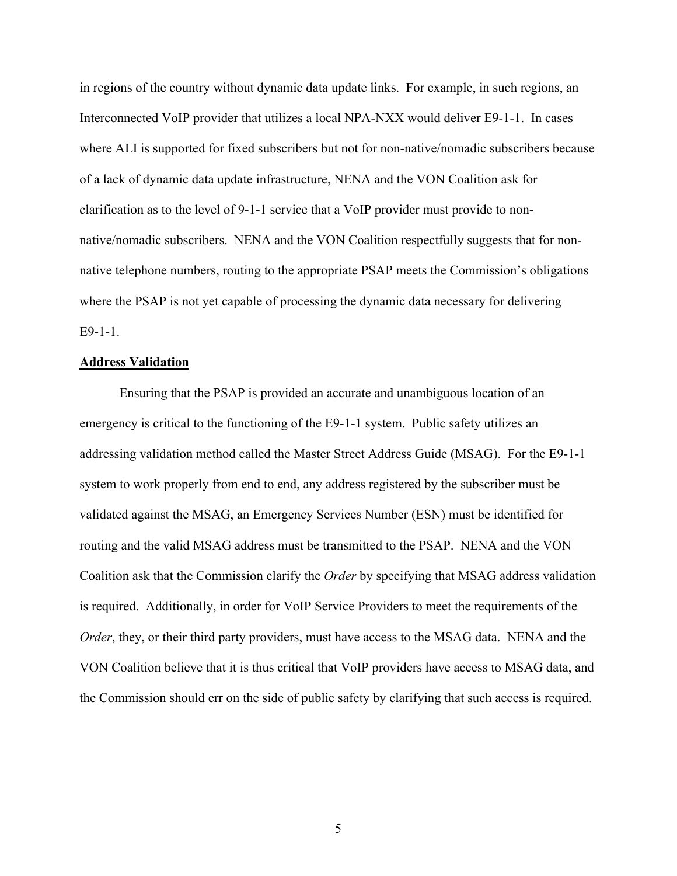in regions of the country without dynamic data update links. For example, in such regions, an Interconnected VoIP provider that utilizes a local NPA-NXX would deliver E9-1-1. In cases where ALI is supported for fixed subscribers but not for non-native/nomadic subscribers because of a lack of dynamic data update infrastructure, NENA and the VON Coalition ask for clarification as to the level of 9-1-1 service that a VoIP provider must provide to nonnative/nomadic subscribers. NENA and the VON Coalition respectfully suggests that for nonnative telephone numbers, routing to the appropriate PSAP meets the Commission's obligations where the PSAP is not yet capable of processing the dynamic data necessary for delivering E9-1-1.

#### **Address Validation**

Ensuring that the PSAP is provided an accurate and unambiguous location of an emergency is critical to the functioning of the E9-1-1 system. Public safety utilizes an addressing validation method called the Master Street Address Guide (MSAG). For the E9-1-1 system to work properly from end to end, any address registered by the subscriber must be validated against the MSAG, an Emergency Services Number (ESN) must be identified for routing and the valid MSAG address must be transmitted to the PSAP. NENA and the VON Coalition ask that the Commission clarify the *Order* by specifying that MSAG address validation is required. Additionally, in order for VoIP Service Providers to meet the requirements of the *Order*, they, or their third party providers, must have access to the MSAG data. NENA and the VON Coalition believe that it is thus critical that VoIP providers have access to MSAG data, and the Commission should err on the side of public safety by clarifying that such access is required.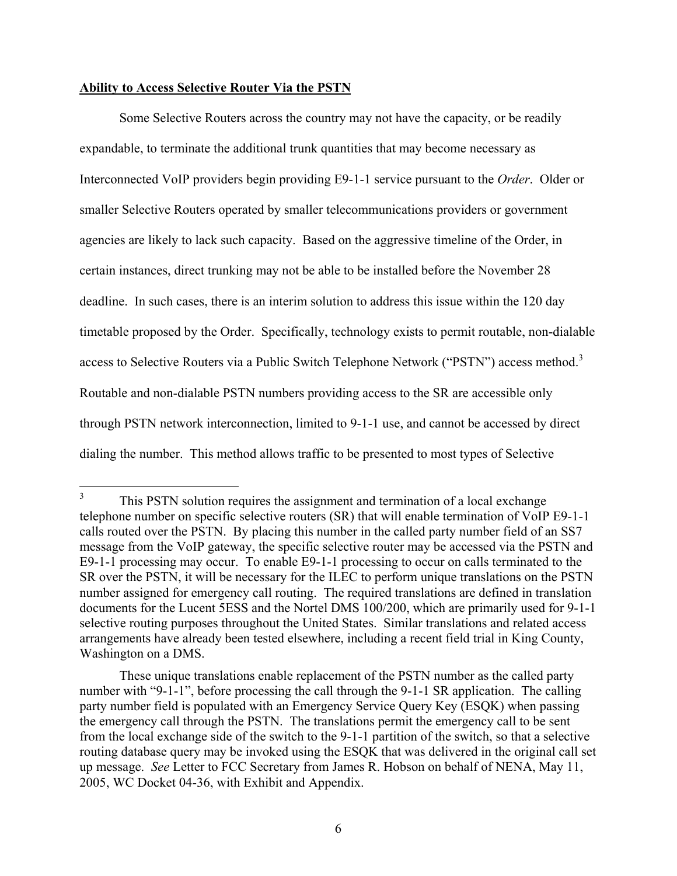#### **Ability to Access Selective Router Via the PSTN**

Some Selective Routers across the country may not have the capacity, or be readily expandable, to terminate the additional trunk quantities that may become necessary as Interconnected VoIP providers begin providing E9-1-1 service pursuant to the *Order*. Older or smaller Selective Routers operated by smaller telecommunications providers or government agencies are likely to lack such capacity. Based on the aggressive timeline of the Order, in certain instances, direct trunking may not be able to be installed before the November 28 deadline. In such cases, there is an interim solution to address this issue within the 120 day timetable proposed by the Order. Specifically, technology exists to permit routable, non-dialable access to Selective Routers via a Public Switch Telephone Network ("PSTN") access method.<sup>3</sup> Routable and non-dialable PSTN numbers providing access to the SR are accessible only through PSTN network interconnection, limited to 9-1-1 use, and cannot be accessed by direct dialing the number. This method allows traffic to be presented to most types of Selective

 $\frac{1}{3}$  This PSTN solution requires the assignment and termination of a local exchange telephone number on specific selective routers (SR) that will enable termination of VoIP E9-1-1 calls routed over the PSTN. By placing this number in the called party number field of an SS7 message from the VoIP gateway, the specific selective router may be accessed via the PSTN and E9-1-1 processing may occur. To enable E9-1-1 processing to occur on calls terminated to the SR over the PSTN, it will be necessary for the ILEC to perform unique translations on the PSTN number assigned for emergency call routing. The required translations are defined in translation documents for the Lucent 5ESS and the Nortel DMS 100/200, which are primarily used for 9-1-1 selective routing purposes throughout the United States. Similar translations and related access arrangements have already been tested elsewhere, including a recent field trial in King County, Washington on a DMS.

These unique translations enable replacement of the PSTN number as the called party number with "9-1-1", before processing the call through the 9-1-1 SR application. The calling party number field is populated with an Emergency Service Query Key (ESQK) when passing the emergency call through the PSTN. The translations permit the emergency call to be sent from the local exchange side of the switch to the 9-1-1 partition of the switch, so that a selective routing database query may be invoked using the ESQK that was delivered in the original call set up message. *See* Letter to FCC Secretary from James R. Hobson on behalf of NENA, May 11, 2005, WC Docket 04-36, with Exhibit and Appendix.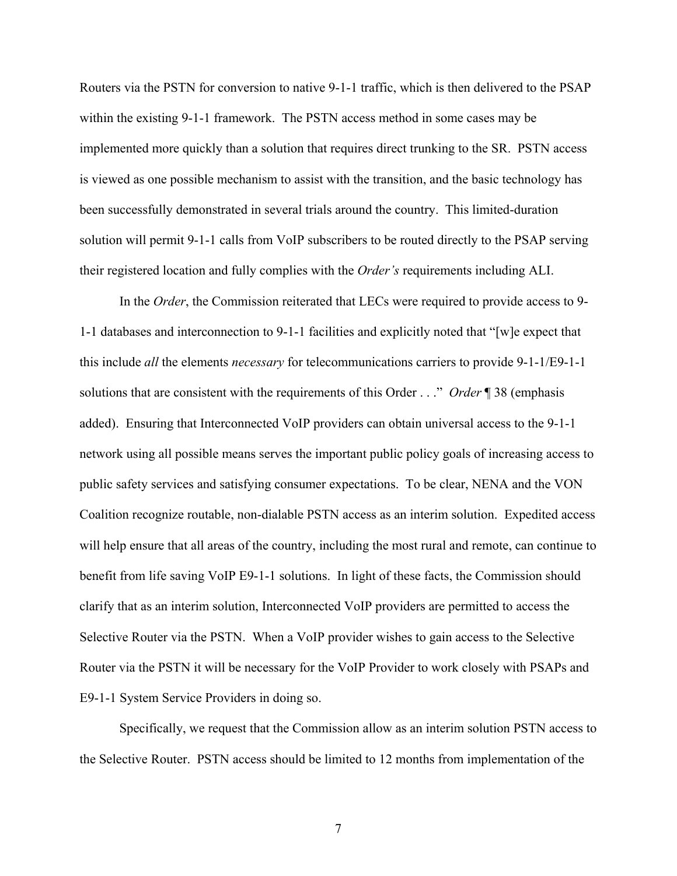Routers via the PSTN for conversion to native 9-1-1 traffic, which is then delivered to the PSAP within the existing 9-1-1 framework. The PSTN access method in some cases may be implemented more quickly than a solution that requires direct trunking to the SR. PSTN access is viewed as one possible mechanism to assist with the transition, and the basic technology has been successfully demonstrated in several trials around the country. This limited-duration solution will permit 9-1-1 calls from VoIP subscribers to be routed directly to the PSAP serving their registered location and fully complies with the *Order's* requirements including ALI.

In the *Order*, the Commission reiterated that LECs were required to provide access to 9- 1-1 databases and interconnection to 9-1-1 facilities and explicitly noted that "[w]e expect that this include *all* the elements *necessary* for telecommunications carriers to provide 9-1-1/E9-1-1 solutions that are consistent with the requirements of this Order . . ." *Order* ¶ 38 (emphasis added). Ensuring that Interconnected VoIP providers can obtain universal access to the 9-1-1 network using all possible means serves the important public policy goals of increasing access to public safety services and satisfying consumer expectations. To be clear, NENA and the VON Coalition recognize routable, non-dialable PSTN access as an interim solution. Expedited access will help ensure that all areas of the country, including the most rural and remote, can continue to benefit from life saving VoIP E9-1-1 solutions. In light of these facts, the Commission should clarify that as an interim solution, Interconnected VoIP providers are permitted to access the Selective Router via the PSTN. When a VoIP provider wishes to gain access to the Selective Router via the PSTN it will be necessary for the VoIP Provider to work closely with PSAPs and E9-1-1 System Service Providers in doing so.

Specifically, we request that the Commission allow as an interim solution PSTN access to the Selective Router. PSTN access should be limited to 12 months from implementation of the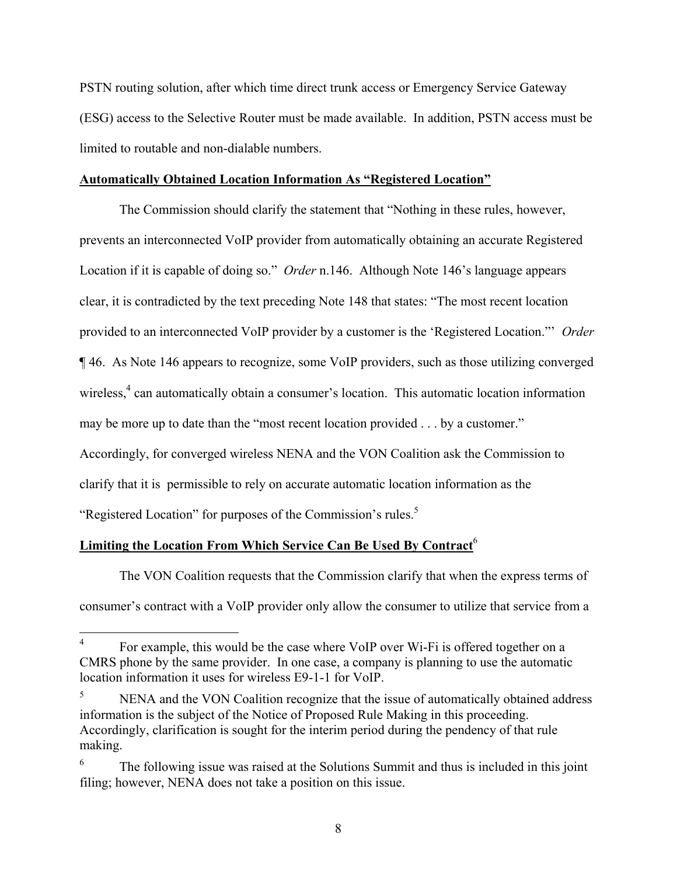PSTN routing solution, after which time direct trunk access or Emergency Service Gateway (ESG) access to the Selective Router must be made available. In addition, PSTN access must be limited to routable and non-dialable numbers.

## **Automatically Obtained Location Information As "Registered Location"**

The Commission should clarify the statement that "Nothing in these rules, however, prevents an interconnected VoIP provider from automatically obtaining an accurate Registered Location if it is capable of doing so." *Order* n.146. Although Note 146's language appears clear, it is contradicted by the text preceding Note 148 that states: "The most recent location provided to an interconnected VoIP provider by a customer is the 'Registered Location."' *Order* ¶ 46. As Note 146 appears to recognize, some VoIP providers, such as those utilizing converged wireless,<sup>4</sup> can automatically obtain a consumer's location. This automatic location information may be more up to date than the "most recent location provided . . . by a customer." Accordingly, for converged wireless NENA and the VON Coalition ask the Commission to clarify that it is permissible to rely on accurate automatic location information as the "Registered Location" for purposes of the Commission's rules.<sup>5</sup>

# **Limiting the Location From Which Service Can Be Used By Contract**<sup>6</sup>

 $\overline{a}$ 

The VON Coalition requests that the Commission clarify that when the express terms of consumer's contract with a VoIP provider only allow the consumer to utilize that service from a

<sup>4</sup> For example, this would be the case where VoIP over Wi-Fi is offered together on a CMRS phone by the same provider. In one case, a company is planning to use the automatic location information it uses for wireless E9-1-1 for VoIP.

<sup>5</sup> NENA and the VON Coalition recognize that the issue of automatically obtained address information is the subject of the Notice of Proposed Rule Making in this proceeding. Accordingly, clarification is sought for the interim period during the pendency of that rule making.

<sup>6</sup> The following issue was raised at the Solutions Summit and thus is included in this joint filing; however, NENA does not take a position on this issue.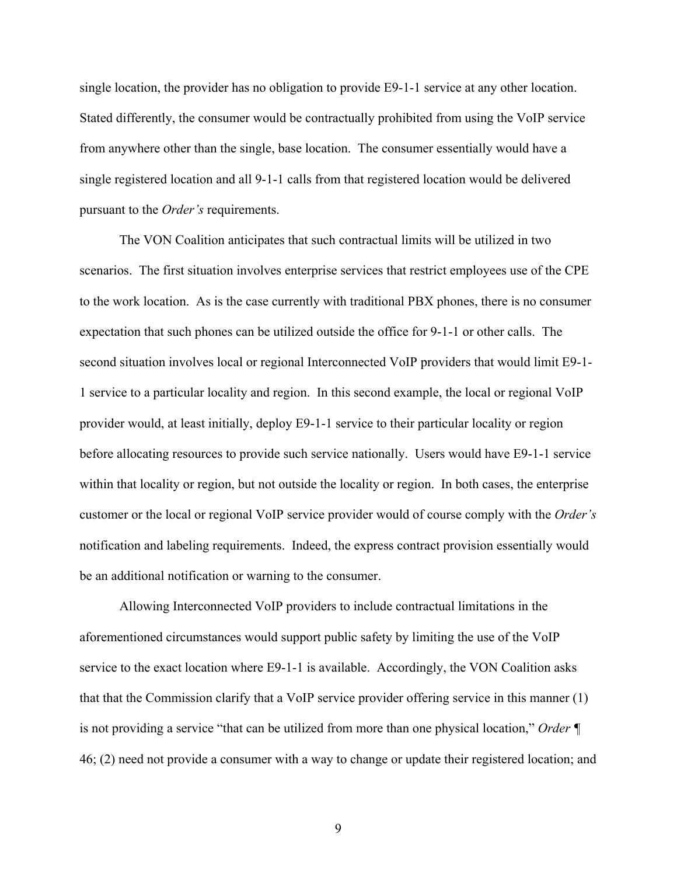single location, the provider has no obligation to provide E9-1-1 service at any other location. Stated differently, the consumer would be contractually prohibited from using the VoIP service from anywhere other than the single, base location. The consumer essentially would have a single registered location and all 9-1-1 calls from that registered location would be delivered pursuant to the *Order's* requirements.

The VON Coalition anticipates that such contractual limits will be utilized in two scenarios. The first situation involves enterprise services that restrict employees use of the CPE to the work location. As is the case currently with traditional PBX phones, there is no consumer expectation that such phones can be utilized outside the office for 9-1-1 or other calls. The second situation involves local or regional Interconnected VoIP providers that would limit E9-1- 1 service to a particular locality and region. In this second example, the local or regional VoIP provider would, at least initially, deploy E9-1-1 service to their particular locality or region before allocating resources to provide such service nationally. Users would have E9-1-1 service within that locality or region, but not outside the locality or region. In both cases, the enterprise customer or the local or regional VoIP service provider would of course comply with the *Order's*  notification and labeling requirements. Indeed, the express contract provision essentially would be an additional notification or warning to the consumer.

Allowing Interconnected VoIP providers to include contractual limitations in the aforementioned circumstances would support public safety by limiting the use of the VoIP service to the exact location where E9-1-1 is available. Accordingly, the VON Coalition asks that that the Commission clarify that a VoIP service provider offering service in this manner (1) is not providing a service "that can be utilized from more than one physical location," *Order ¶* 46; (2) need not provide a consumer with a way to change or update their registered location; and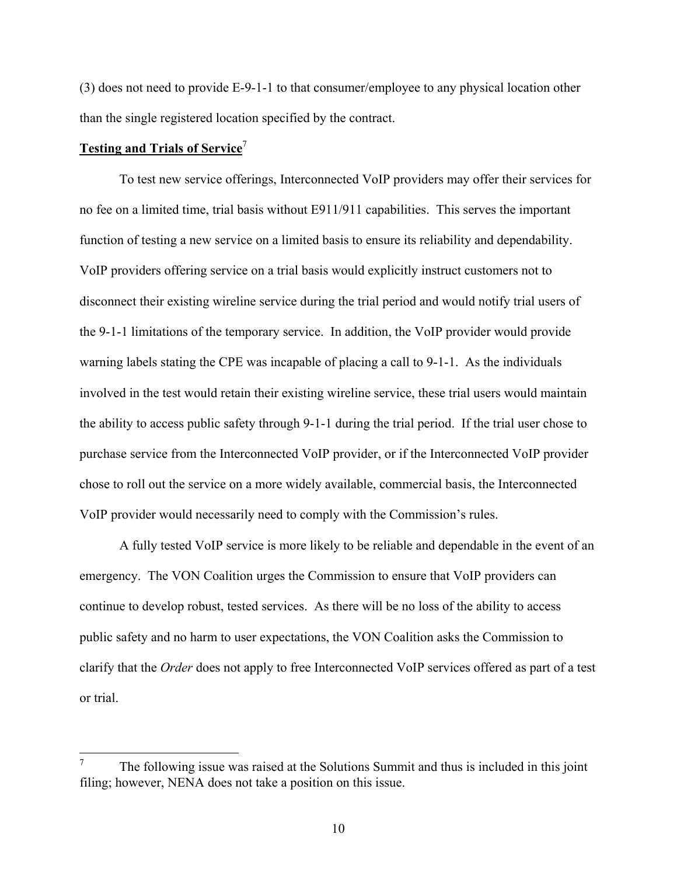(3) does not need to provide E-9-1-1 to that consumer/employee to any physical location other than the single registered location specified by the contract.

## **Testing and Trials of Service**<sup>7</sup>

1

To test new service offerings, Interconnected VoIP providers may offer their services for no fee on a limited time, trial basis without E911/911 capabilities. This serves the important function of testing a new service on a limited basis to ensure its reliability and dependability. VoIP providers offering service on a trial basis would explicitly instruct customers not to disconnect their existing wireline service during the trial period and would notify trial users of the 9-1-1 limitations of the temporary service. In addition, the VoIP provider would provide warning labels stating the CPE was incapable of placing a call to 9-1-1. As the individuals involved in the test would retain their existing wireline service, these trial users would maintain the ability to access public safety through 9-1-1 during the trial period. If the trial user chose to purchase service from the Interconnected VoIP provider, or if the Interconnected VoIP provider chose to roll out the service on a more widely available, commercial basis, the Interconnected VoIP provider would necessarily need to comply with the Commission's rules.

A fully tested VoIP service is more likely to be reliable and dependable in the event of an emergency. The VON Coalition urges the Commission to ensure that VoIP providers can continue to develop robust, tested services. As there will be no loss of the ability to access public safety and no harm to user expectations, the VON Coalition asks the Commission to clarify that the *Order* does not apply to free Interconnected VoIP services offered as part of a test or trial.

<sup>7</sup> The following issue was raised at the Solutions Summit and thus is included in this joint filing; however, NENA does not take a position on this issue.